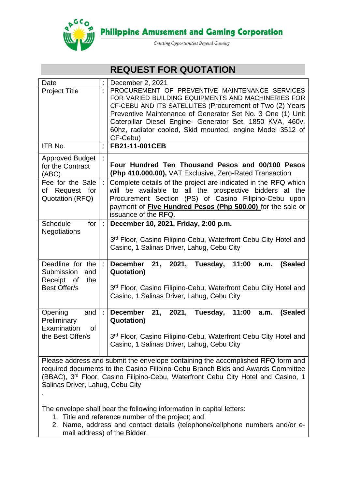

**Philippine Amusement and Gaming Corporation** 

Creating Opportunities Beyond Gaming

# **REQUEST FOR QUOTATION**

| Date                                                                              |   | December 2, 2021                                                                                                                                                                                                                                                                                                                                                     |
|-----------------------------------------------------------------------------------|---|----------------------------------------------------------------------------------------------------------------------------------------------------------------------------------------------------------------------------------------------------------------------------------------------------------------------------------------------------------------------|
| <b>Project Title</b>                                                              |   | PROCUREMENT OF PREVENTIVE MAINTENANCE SERVICES<br>FOR VARIED BUILDING EQUIPMENTS AND MACHINERIES FOR<br>CF-CEBU AND ITS SATELLITES (Procurement of Two (2) Years<br>Preventive Maintenance of Generator Set No. 3 One (1) Unit<br>Caterpillar Diesel Engine- Generator Set, 1850 KVA, 460v,<br>60hz, radiator cooled, Skid mounted, engine Model 3512 of<br>CF-Cebu) |
| ITB No.                                                                           |   | FB21-11-001CEB                                                                                                                                                                                                                                                                                                                                                       |
| <b>Approved Budget</b><br>for the Contract<br>(ABC)                               |   | Four Hundred Ten Thousand Pesos and 00/100 Pesos<br>(Php 410.000.00), VAT Exclusive, Zero-Rated Transaction                                                                                                                                                                                                                                                          |
| Fee for the Sale<br>of Request for<br>Quotation (RFQ)                             |   | Complete details of the project are indicated in the RFQ which<br>will be available to all the prospective bidders at the<br>Procurement Section (PS) of Casino Filipino-Cebu upon<br>payment of Five Hundred Pesos (Php 500.00) for the sale or<br>issuance of the RFQ.                                                                                             |
| <b>Schedule</b><br>for<br><b>Negotiations</b>                                     | ÷ | December 10, 2021, Friday, 2:00 p.m.<br>3rd Floor, Casino Filipino-Cebu, Waterfront Cebu City Hotel and<br>Casino, 1 Salinas Driver, Lahug, Cebu City                                                                                                                                                                                                                |
| Deadline for the<br>Submission<br>and<br>Receipt of<br>the<br><b>Best Offer/s</b> |   | December 21, 2021, Tuesday, 11:00<br>(Sealed<br>a.m.<br><b>Quotation)</b><br>3rd Floor, Casino Filipino-Cebu, Waterfront Cebu City Hotel and<br>Casino, 1 Salinas Driver, Lahug, Cebu City                                                                                                                                                                           |
| Opening<br>and<br>Preliminary<br>Examination<br><b>of</b><br>the Best Offer/s     |   | December 21, 2021, Tuesday, 11:00<br>(Sealed<br>a.m.<br><b>Quotation)</b><br>3rd Floor, Casino Filipino-Cebu, Waterfront Cebu City Hotel and<br>Casino, 1 Salinas Driver, Lahug, Cebu City<br>$Dlace$ address and submit the envelope containing the essemplished $\overline{D}$ form and                                                                            |

Please address and submit the envelope containing the accomplished RFQ form and required documents to the Casino Filipino-Cebu Branch Bids and Awards Committee (BBAC), 3 rd Floor, Casino Filipino-Cebu, Waterfront Cebu City Hotel and Casino, 1 Salinas Driver, Lahug, Cebu City

The envelope shall bear the following information in capital letters:

1. Title and reference number of the project; and

.

2. Name, address and contact details (telephone/cellphone numbers and/or email address) of the Bidder.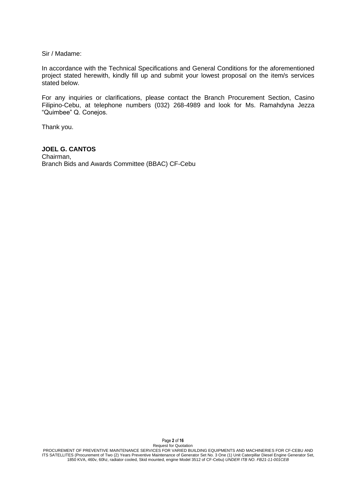Sir / Madame:

In accordance with the Technical Specifications and General Conditions for the aforementioned project stated herewith, kindly fill up and submit your lowest proposal on the item/s services stated below.

For any inquiries or clarifications, please contact the Branch Procurement Section, Casino Filipino-Cebu, at telephone numbers (032) 268-4989 and look for Ms. Ramahdyna Jezza "Quimbee" Q. Conejos.

Thank you.

#### **JOEL G. CANTOS**

Chairman, Branch Bids and Awards Committee (BBAC) CF-Cebu

Page **2** of **16**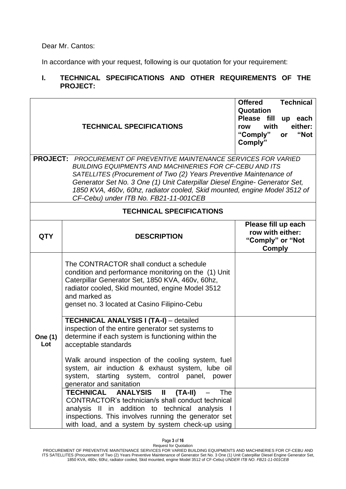Dear Mr. Cantos:

In accordance with your request, following is our quotation for your requirement:

# **I. TECHNICAL SPECIFICATIONS AND OTHER REQUIREMENTS OF THE PROJECT:**

|                                                                                                                                                                                                                                                                                                                                                                                                                       | <b>TECHNICAL SPECIFICATIONS</b>                                                                                                                                                                                                                                            | <b>Offered</b><br><b>Technical</b><br>Quotation<br>Please fill<br>up each<br>with<br>either:<br>row<br>"Not<br>"Comply"<br>or<br>Comply" |  |  |  |
|-----------------------------------------------------------------------------------------------------------------------------------------------------------------------------------------------------------------------------------------------------------------------------------------------------------------------------------------------------------------------------------------------------------------------|----------------------------------------------------------------------------------------------------------------------------------------------------------------------------------------------------------------------------------------------------------------------------|------------------------------------------------------------------------------------------------------------------------------------------|--|--|--|
| <b>PROJECT:</b> PROCUREMENT OF PREVENTIVE MAINTENANCE SERVICES FOR VARIED<br><b>BUILDING EQUIPMENTS AND MACHINERIES FOR CF-CEBU AND ITS</b><br>SATELLITES (Procurement of Two (2) Years Preventive Maintenance of<br>Generator Set No. 3 One (1) Unit Caterpillar Diesel Engine- Generator Set,<br>1850 KVA, 460v, 60hz, radiator cooled, Skid mounted, engine Model 3512 of<br>CF-Cebu) under ITB No. FB21-11-001CEB |                                                                                                                                                                                                                                                                            |                                                                                                                                          |  |  |  |
|                                                                                                                                                                                                                                                                                                                                                                                                                       | <b>TECHNICAL SPECIFICATIONS</b>                                                                                                                                                                                                                                            |                                                                                                                                          |  |  |  |
| <b>QTY</b>                                                                                                                                                                                                                                                                                                                                                                                                            | <b>DESCRIPTION</b>                                                                                                                                                                                                                                                         | Please fill up each<br>row with either:<br>"Comply" or "Not<br><b>Comply</b>                                                             |  |  |  |
|                                                                                                                                                                                                                                                                                                                                                                                                                       | The CONTRACTOR shall conduct a schedule<br>condition and performance monitoring on the (1) Unit<br>Caterpillar Generator Set, 1850 KVA, 460v, 60hz,<br>radiator cooled, Skid mounted, engine Model 3512<br>and marked as<br>genset no. 3 located at Casino Filipino-Cebu   |                                                                                                                                          |  |  |  |
| <b>One (1)</b><br>Lot                                                                                                                                                                                                                                                                                                                                                                                                 | <b>TECHNICAL ANALYSIS I (TA-I)</b> - detailed<br>inspection of the entire generator set systems to<br>determine if each system is functioning within the<br>acceptable standards                                                                                           |                                                                                                                                          |  |  |  |
|                                                                                                                                                                                                                                                                                                                                                                                                                       | Walk around inspection of the cooling system, fuel<br>system, air induction & exhaust system, lube oil<br>system, starting system, control panel, power<br>generator and sanitation                                                                                        |                                                                                                                                          |  |  |  |
|                                                                                                                                                                                                                                                                                                                                                                                                                       | TECHNICAL ANALYSIS<br>$(TA-II)$<br>$\mathbf{I}$<br>The<br>CONTRACTOR's technician/s shall conduct technical<br>analysis II in addition to technical analysis I<br>inspections. This involves running the generator set<br>with load, and a system by system check-up using |                                                                                                                                          |  |  |  |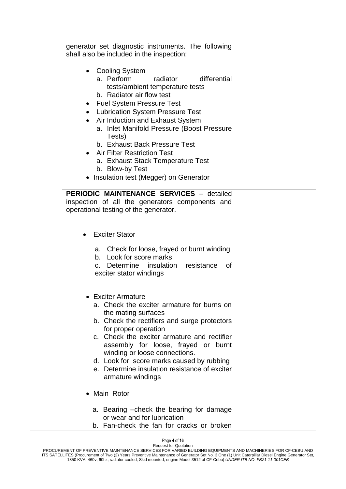| generator set diagnostic instruments. The following<br>shall also be included in the inspection:                                                                                                                                                                                                                                                                                                                                                                                             |  |
|----------------------------------------------------------------------------------------------------------------------------------------------------------------------------------------------------------------------------------------------------------------------------------------------------------------------------------------------------------------------------------------------------------------------------------------------------------------------------------------------|--|
| <b>Cooling System</b><br>$\bullet$<br>radiator<br>differential<br>a. Perform<br>tests/ambient temperature tests<br>b. Radiator air flow test<br><b>Fuel System Pressure Test</b><br>• Lubrication System Pressure Test<br>Air Induction and Exhaust System<br>a. Inlet Manifold Pressure (Boost Pressure<br>Tests)<br>b. Exhaust Back Pressure Test<br><b>Air Filter Restriction Test</b><br>a. Exhaust Stack Temperature Test<br>b. Blow-by Test<br>• Insulation test (Megger) on Generator |  |
| <b>PERIODIC MAINTENANCE SERVICES - detailed</b><br>inspection of all the generators components and<br>operational testing of the generator.                                                                                                                                                                                                                                                                                                                                                  |  |
| <b>Exciter Stator</b>                                                                                                                                                                                                                                                                                                                                                                                                                                                                        |  |
| a. Check for loose, frayed or burnt winding<br>Look for score marks<br>b.<br>resistance<br>Determine<br>insulation<br>0f<br>C.<br>exciter stator windings                                                                                                                                                                                                                                                                                                                                    |  |
| • Exciter Armature<br>a. Check the exciter armature for burns on<br>the mating surfaces<br>b. Check the rectifiers and surge protectors<br>for proper operation<br>c. Check the exciter armature and rectifier<br>assembly for loose, frayed or burnt<br>winding or loose connections.<br>d. Look for score marks caused by rubbing<br>e. Determine insulation resistance of exciter<br>armature windings                                                                                    |  |
| • Main Rotor                                                                                                                                                                                                                                                                                                                                                                                                                                                                                 |  |
| a. Bearing -check the bearing for damage<br>or wear and for lubrication<br>b. Fan-check the fan for cracks or broken                                                                                                                                                                                                                                                                                                                                                                         |  |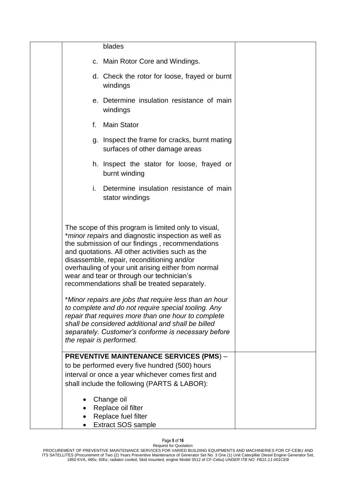|    | blades                                                                                                                                                                                                                                                                                                                                                                                                                                                                                                                                                                                                                                                                                                                                        |  |
|----|-----------------------------------------------------------------------------------------------------------------------------------------------------------------------------------------------------------------------------------------------------------------------------------------------------------------------------------------------------------------------------------------------------------------------------------------------------------------------------------------------------------------------------------------------------------------------------------------------------------------------------------------------------------------------------------------------------------------------------------------------|--|
|    | c. Main Rotor Core and Windings.                                                                                                                                                                                                                                                                                                                                                                                                                                                                                                                                                                                                                                                                                                              |  |
|    | d. Check the rotor for loose, frayed or burnt<br>windings                                                                                                                                                                                                                                                                                                                                                                                                                                                                                                                                                                                                                                                                                     |  |
|    | e. Determine insulation resistance of main<br>windings                                                                                                                                                                                                                                                                                                                                                                                                                                                                                                                                                                                                                                                                                        |  |
| f. | <b>Main Stator</b>                                                                                                                                                                                                                                                                                                                                                                                                                                                                                                                                                                                                                                                                                                                            |  |
|    | g. Inspect the frame for cracks, burnt mating<br>surfaces of other damage areas                                                                                                                                                                                                                                                                                                                                                                                                                                                                                                                                                                                                                                                               |  |
|    | h. Inspect the stator for loose, frayed or<br>burnt winding                                                                                                                                                                                                                                                                                                                                                                                                                                                                                                                                                                                                                                                                                   |  |
| i. | Determine insulation resistance of main<br>stator windings                                                                                                                                                                                                                                                                                                                                                                                                                                                                                                                                                                                                                                                                                    |  |
|    | The scope of this program is limited only to visual,<br>* <i>minor repairs</i> and diagnostic inspection as well as<br>the submission of our findings, recommendations<br>and quotations. All other activities such as the<br>disassemble, repair, reconditioning and/or<br>overhauling of your unit arising either from normal<br>wear and tear or through our technician's<br>recommendations shall be treated separately.<br>*Minor repairs are jobs that require less than an hour<br>to complete and do not require special tooling. Any<br>repair that requires more than one hour to complete<br>shall be considered additional and shall be billed<br>separately. Customer's conforme is necessary before<br>the repair is performed. |  |
|    | <b>PREVENTIVE MAINTENANCE SERVICES (PMS) -</b><br>to be performed every five hundred (500) hours<br>interval or once a year whichever comes first and<br>shall include the following (PARTS & LABOR):                                                                                                                                                                                                                                                                                                                                                                                                                                                                                                                                         |  |
|    | Change oil<br>Replace oil filter<br>Replace fuel filter<br><b>Extract SOS sample</b>                                                                                                                                                                                                                                                                                                                                                                                                                                                                                                                                                                                                                                                          |  |

#### Page **5** of **16**

Request for Quotation PROCUREMENT OF PREVENTIVE MAINTENANCE SERVICES FOR VARIED BUILDING EQUIPMENTS AND MACHINERIES FOR CF-CEBU AND ITS SATELLITES (Procurement of Two (2) Years Preventive Maintenance of Generator Set No. 3 One (1) Unit Caterpillar Diesel Engine Generator Set, 1850 KVA, 460v, 60hz, radiator cooled, Skid mounted, engine Model 3512 of CF-Cebu) *UNDER ITB NO. FB21-11-001CEB*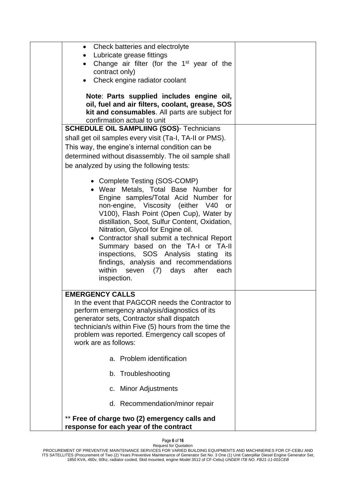| • Check batteries and electrolyte<br>Lubricate grease fittings<br>$\bullet$<br>Change air filter (for the 1 <sup>st</sup> year of the<br>$\bullet$<br>contract only)<br>Check engine radiator coolant<br>Note: Parts supplied includes engine oil,<br>oil, fuel and air filters, coolant, grease, SOS<br>kit and consumables. All parts are subject for                                                                                                                                                                      |  |
|------------------------------------------------------------------------------------------------------------------------------------------------------------------------------------------------------------------------------------------------------------------------------------------------------------------------------------------------------------------------------------------------------------------------------------------------------------------------------------------------------------------------------|--|
| confirmation actual to unit                                                                                                                                                                                                                                                                                                                                                                                                                                                                                                  |  |
| <b>SCHEDULE OIL SAMPLIING (SOS)- Technicians</b>                                                                                                                                                                                                                                                                                                                                                                                                                                                                             |  |
| shall get oil samples every visit (Ta-I, TA-II or PMS).<br>This way, the engine's internal condition can be<br>determined without disassembly. The oil sample shall<br>be analyzed by using the following tests:                                                                                                                                                                                                                                                                                                             |  |
| • Complete Testing (SOS-COMP)<br>• Wear Metals, Total Base Number for<br>Engine samples/Total Acid Number for<br>non-engine, Viscosity (either V40<br>or<br>V100), Flash Point (Open Cup), Water by<br>distillation, Soot, Sulfur Content, Oxidation,<br>Nitration, Glycol for Engine oil.<br>• Contractor shall submit a technical Report<br>Summary based on the TA-I or TA-II<br>inspections, SOS Analysis stating its<br>findings, analysis and recommendations<br>within<br>seven (7) days after<br>each<br>inspection. |  |
| <b>EMERGENCY CALLS</b><br>In the event that PAGCOR needs the Contractor to<br>perform emergency analysis/diagnostics of its<br>generator sets, Contractor shall dispatch<br>technician/s within Five (5) hours from the time the<br>problem was reported. Emergency call scopes of<br>work are as follows:                                                                                                                                                                                                                   |  |
| a. Problem identification                                                                                                                                                                                                                                                                                                                                                                                                                                                                                                    |  |
| b. Troubleshooting                                                                                                                                                                                                                                                                                                                                                                                                                                                                                                           |  |
| c. Minor Adjustments                                                                                                                                                                                                                                                                                                                                                                                                                                                                                                         |  |
| d. Recommendation/minor repair                                                                                                                                                                                                                                                                                                                                                                                                                                                                                               |  |
| ** Free of charge two (2) emergency calls and<br>response for each year of the contract                                                                                                                                                                                                                                                                                                                                                                                                                                      |  |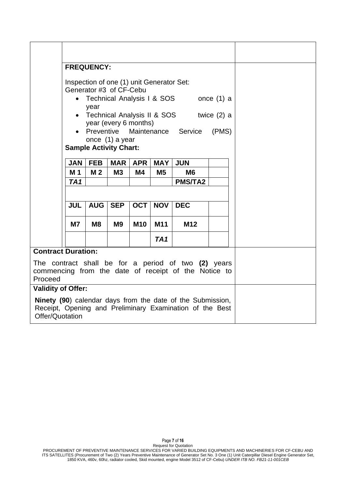| <b>FREQUENCY:</b>                                                                                                                         |                                                                                                                                                                                                                                                                           |                |                               |            |                 |                                                                                                             |  |  |  |
|-------------------------------------------------------------------------------------------------------------------------------------------|---------------------------------------------------------------------------------------------------------------------------------------------------------------------------------------------------------------------------------------------------------------------------|----------------|-------------------------------|------------|-----------------|-------------------------------------------------------------------------------------------------------------|--|--|--|
|                                                                                                                                           | Inspection of one (1) unit Generator Set:<br>Generator #3 of CF-Cebu<br>Technical Analysis I & SOS<br>once $(1)$ a<br>year<br>• Technical Analysis II & SOS<br>twice $(2)$ a<br>year (every 6 months)<br>Preventive<br>Maintenance<br>Service<br>(PMS)<br>once (1) a year |                |                               |            |                 |                                                                                                             |  |  |  |
|                                                                                                                                           |                                                                                                                                                                                                                                                                           |                | <b>Sample Activity Chart:</b> |            |                 |                                                                                                             |  |  |  |
|                                                                                                                                           | <b>JAN</b>                                                                                                                                                                                                                                                                | <b>FEB</b>     | <b>MAR</b>                    | <b>APR</b> | <b>MAY</b>      | <b>JUN</b>                                                                                                  |  |  |  |
|                                                                                                                                           | M <sub>1</sub><br>TA <sub>1</sub>                                                                                                                                                                                                                                         | M <sub>2</sub> | M3                            | M4         | M <sub>5</sub>  | M <sub>6</sub><br><b>PMS/TA2</b>                                                                            |  |  |  |
|                                                                                                                                           |                                                                                                                                                                                                                                                                           |                |                               |            |                 |                                                                                                             |  |  |  |
|                                                                                                                                           | <b>JUL</b>                                                                                                                                                                                                                                                                | <b>AUG</b>     | <b>SEP</b>                    | OCT        | <b>NOV</b>      | <b>DEC</b>                                                                                                  |  |  |  |
|                                                                                                                                           | <b>M7</b>                                                                                                                                                                                                                                                                 | M <sub>8</sub> | <b>M9</b>                     | <b>M10</b> | M11             | M <sub>12</sub>                                                                                             |  |  |  |
|                                                                                                                                           |                                                                                                                                                                                                                                                                           |                |                               |            | TA <sub>1</sub> |                                                                                                             |  |  |  |
| <b>Contract Duration:</b>                                                                                                                 |                                                                                                                                                                                                                                                                           |                |                               |            |                 |                                                                                                             |  |  |  |
| Proceed                                                                                                                                   |                                                                                                                                                                                                                                                                           |                |                               |            |                 | The contract shall be for a period of two (2) years<br>commencing from the date of receipt of the Notice to |  |  |  |
|                                                                                                                                           | <b>Validity of Offer:</b>                                                                                                                                                                                                                                                 |                |                               |            |                 |                                                                                                             |  |  |  |
| Ninety (90) calendar days from the date of the Submission,<br>Receipt, Opening and Preliminary Examination of the Best<br>Offer/Quotation |                                                                                                                                                                                                                                                                           |                |                               |            |                 |                                                                                                             |  |  |  |

Page **7** of **16**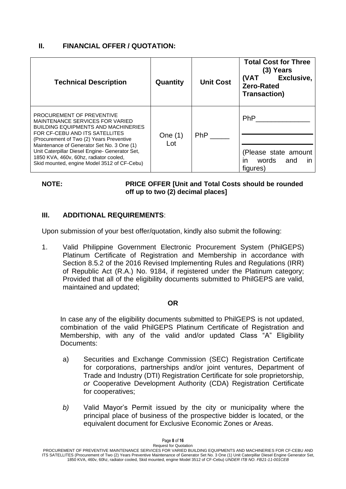# **II. FINANCIAL OFFER / QUOTATION:**

| <b>Technical Description</b>                                                                                                                                                                                                                                                                                                                                                             | Quantity         | <b>Unit Cost</b> | <b>Total Cost for Three</b><br>(3) Years<br>Exclusive,<br>(VAT<br><b>Zero-Rated</b><br><b>Transaction</b> ) |
|------------------------------------------------------------------------------------------------------------------------------------------------------------------------------------------------------------------------------------------------------------------------------------------------------------------------------------------------------------------------------------------|------------------|------------------|-------------------------------------------------------------------------------------------------------------|
| PROCUREMENT OF PREVENTIVE<br><b>MAINTENANCE SERVICES FOR VARIED</b><br><b>BUILDING EQUIPMENTS AND MACHINERIES</b><br>FOR CF-CEBU AND ITS SATELLITES<br>(Procurement of Two (2) Years Preventive<br>Maintenance of Generator Set No. 3 One (1)<br>Unit Caterpillar Diesel Engine- Generator Set,<br>1850 KVA, 460v, 60hz, radiator cooled,<br>Skid mounted, engine Model 3512 of CF-Cebu) | One $(1)$<br>Lot | PhP              | <b>PhP</b><br>(Please state amount<br>words<br>and<br>in<br>ın<br>figures)                                  |

# **NOTE: PRICE OFFER [Unit and Total Costs should be rounded off up to two (2) decimal places]**

# **III. ADDITIONAL REQUIREMENTS**:

Upon submission of your best offer/quotation, kindly also submit the following:

1. Valid Philippine Government Electronic Procurement System (PhilGEPS) Platinum Certificate of Registration and Membership in accordance with Section 8.5.2 of the 2016 Revised Implementing Rules and Regulations (IRR) of Republic Act (R.A.) No. 9184, if registered under the Platinum category; Provided that all of the eligibility documents submitted to PhilGEPS are valid, maintained and updated;

# **OR**

In case any of the eligibility documents submitted to PhilGEPS is not updated, combination of the valid PhilGEPS Platinum Certificate of Registration and Membership, with any of the valid and/or updated Class "A" Eligibility Documents:

- a) Securities and Exchange Commission (SEC) Registration Certificate for corporations, partnerships and/or joint ventures, Department of Trade and Industry (DTI) Registration Certificate for sole proprietorship, *or* Cooperative Development Authority (CDA) Registration Certificate for cooperatives;
- *b)* Valid Mayor's Permit issued by the city or municipality where the principal place of business of the prospective bidder is located, or the equivalent document for Exclusive Economic Zones or Areas.

PROCUREMENT OF PREVENTIVE MAINTENANCE SERVICES FOR VARIED BUILDING EQUIPMENTS AND MACHINERIES FOR CF-CEBU AND ITS SATELLITES (Procurement of Two (2) Years Preventive Maintenance of Generator Set No. 3 One (1) Unit Caterpillar Diesel Engine Generator Set, 1850 KVA, 460v, 60hz, radiator cooled, Skid mounted, engine Model 3512 of CF-Cebu) *UNDER ITB NO. FB21-11-001CEB*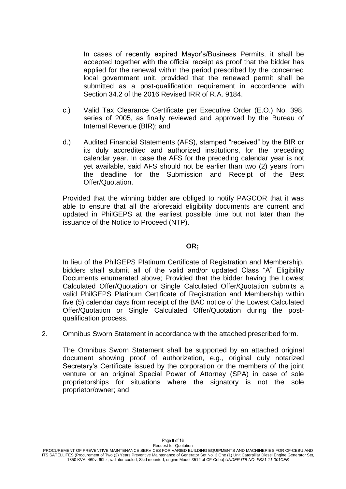In cases of recently expired Mayor's/Business Permits, it shall be accepted together with the official receipt as proof that the bidder has applied for the renewal within the period prescribed by the concerned local government unit, provided that the renewed permit shall be submitted as a post-qualification requirement in accordance with Section 34.2 of the 2016 Revised IRR of R.A. 9184.

- c.) Valid Tax Clearance Certificate per Executive Order (E.O.) No. 398, series of 2005, as finally reviewed and approved by the Bureau of Internal Revenue (BIR); and
- d.) Audited Financial Statements (AFS), stamped "received" by the BIR or its duly accredited and authorized institutions, for the preceding calendar year. In case the AFS for the preceding calendar year is not yet available, said AFS should not be earlier than two (2) years from the deadline for the Submission and Receipt of the Best Offer/Quotation.

Provided that the winning bidder are obliged to notify PAGCOR that it was able to ensure that all the aforesaid eligibility documents are current and updated in PhilGEPS at the earliest possible time but not later than the issuance of the Notice to Proceed (NTP).

### **OR;**

In lieu of the PhilGEPS Platinum Certificate of Registration and Membership, bidders shall submit all of the valid and/or updated Class "A" Eligibility Documents enumerated above; Provided that the bidder having the Lowest Calculated Offer/Quotation or Single Calculated Offer/Quotation submits a valid PhilGEPS Platinum Certificate of Registration and Membership within five (5) calendar days from receipt of the BAC notice of the Lowest Calculated Offer/Quotation or Single Calculated Offer/Quotation during the postqualification process.

2. Omnibus Sworn Statement in accordance with the attached prescribed form.

The Omnibus Sworn Statement shall be supported by an attached original document showing proof of authorization, e.g., original duly notarized Secretary's Certificate issued by the corporation or the members of the joint venture or an original Special Power of Attorney (SPA) in case of sole proprietorships for situations where the signatory is not the sole proprietor/owner; and

Page **9** of **16**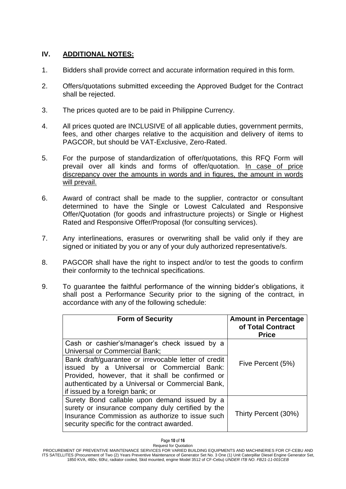# **IV. ADDITIONAL NOTES:**

- 1. Bidders shall provide correct and accurate information required in this form.
- 2. Offers/quotations submitted exceeding the Approved Budget for the Contract shall be rejected.
- 3. The prices quoted are to be paid in Philippine Currency.
- 4. All prices quoted are INCLUSIVE of all applicable duties, government permits, fees, and other charges relative to the acquisition and delivery of items to PAGCOR, but should be VAT-Exclusive, Zero-Rated.
- 5. For the purpose of standardization of offer/quotations, this RFQ Form will prevail over all kinds and forms of offer/quotation. In case of price discrepancy over the amounts in words and in figures, the amount in words will prevail.
- 6. Award of contract shall be made to the supplier, contractor or consultant determined to have the Single or Lowest Calculated and Responsive Offer/Quotation (for goods and infrastructure projects) or Single or Highest Rated and Responsive Offer/Proposal (for consulting services).
- 7. Any interlineations, erasures or overwriting shall be valid only if they are signed or initiated by you or any of your duly authorized representative/s.
- 8. PAGCOR shall have the right to inspect and/or to test the goods to confirm their conformity to the technical specifications.
- 9. To guarantee the faithful performance of the winning bidder's obligations, it shall post a Performance Security prior to the signing of the contract, in accordance with any of the following schedule:

| <b>Form of Security</b>                                                                                                                                                                                                                      | <b>Amount in Percentage</b><br>of Total Contract<br><b>Price</b> |
|----------------------------------------------------------------------------------------------------------------------------------------------------------------------------------------------------------------------------------------------|------------------------------------------------------------------|
| Cash or cashier's/manager's check issued by a<br><b>Universal or Commercial Bank;</b>                                                                                                                                                        |                                                                  |
| Bank draft/guarantee or irrevocable letter of credit<br>issued by a Universal or Commercial Bank:<br>Provided, however, that it shall be confirmed or<br>authenticated by a Universal or Commercial Bank,<br>if issued by a foreign bank; or | Five Percent (5%)                                                |
| Surety Bond callable upon demand issued by a<br>surety or insurance company duly certified by the<br>Insurance Commission as authorize to issue such<br>security specific for the contract awarded.                                          | Thirty Percent (30%)                                             |

Request for Quotation PROCUREMENT OF PREVENTIVE MAINTENANCE SERVICES FOR VARIED BUILDING EQUIPMENTS AND MACHINERIES FOR CF-CEBU AND ITS SATELLITES (Procurement of Two (2) Years Preventive Maintenance of Generator Set No. 3 One (1) Unit Caterpillar Diesel Engine Generator Set, 1850 KVA, 460v, 60hz, radiator cooled, Skid mounted, engine Model 3512 of CF-Cebu) *UNDER ITB NO. FB21-11-001CEB*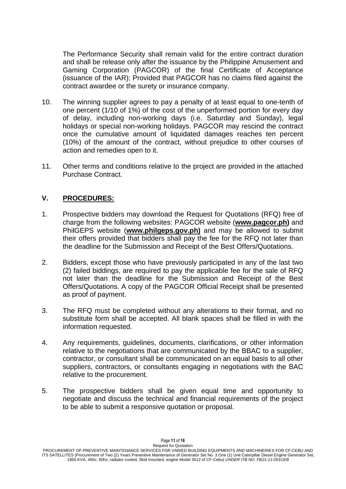The Performance Security shall remain valid for the entire contract duration and shall be release only after the issuance by the Philippine Amusement and Gaming Corporation (PAGCOR) of the final Certificate of Acceptance (issuance of the IAR); Provided that PAGCOR has no claims filed against the contract awardee or the surety or insurance company.

- 10. The winning supplier agrees to pay a penalty of at least equal to one-tenth of one percent (1/10 of 1%) of the cost of the unperformed portion for every day of delay, including non-working days (i.e. Saturday and Sunday), legal holidays or special non-working holidays. PAGCOR may rescind the contract once the cumulative amount of liquidated damages reaches ten percent (10%) of the amount of the contract, without prejudice to other courses of action and remedies open to it.
- 11. Other terms and conditions relative to the project are provided in the attached Purchase Contract.

# **V. PROCEDURES:**

- 1. Prospective bidders may download the Request for Quotations (RFQ) free of charge from the following websites: PAGCOR website (**[www.pagcor.ph\)](http://www.pagcor.ph/)** and PhilGEPS website (**www.philgeps.gov.ph)** and may be allowed to submit their offers provided that bidders shall pay the fee for the RFQ not later than the deadline for the Submission and Receipt of the Best Offers/Quotations.
- 2. Bidders, except those who have previously participated in any of the last two (2) failed biddings, are required to pay the applicable fee for the sale of RFQ not later than the deadline for the Submission and Receipt of the Best Offers/Quotations. A copy of the PAGCOR Official Receipt shall be presented as proof of payment.
- 3. The RFQ must be completed without any alterations to their format, and no substitute form shall be accepted. All blank spaces shall be filled in with the information requested.
- 4. Any requirements, guidelines, documents, clarifications, or other information relative to the negotiations that are communicated by the BBAC to a supplier, contractor, or consultant shall be communicated on an equal basis to all other suppliers, contractors, or consultants engaging in negotiations with the BAC relative to the procurement.
- 5. The prospective bidders shall be given equal time and opportunity to negotiate and discuss the technical and financial requirements of the project to be able to submit a responsive quotation or proposal.

Page **11** of **16**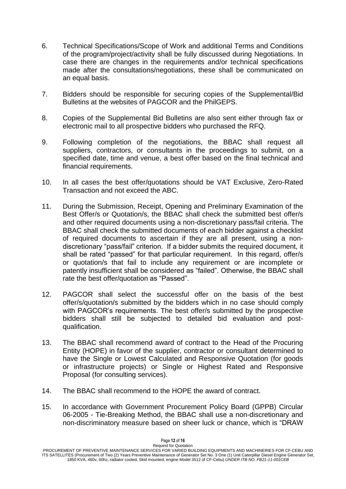- 6. Technical Specifications/Scope of Work and additional Terms and Conditions of the program/project/activity shall be fully discussed during Negotiations. In case there are changes in the requirements and/or technical specifications made after the consultations/negotiations, these shall be communicated on an equal basis.
- 7. Bidders should be responsible for securing copies of the Supplemental/Bid Bulletins at the websites of PAGCOR and the PhilGEPS.
- 8. Copies of the Supplemental Bid Bulletins are also sent either through fax or electronic mail to all prospective bidders who purchased the RFQ.
- 9. Following completion of the negotiations, the BBAC shall request all suppliers, contractors, or consultants in the proceedings to submit, on a specified date, time and venue, a best offer based on the final technical and financial requirements.
- 10. In all cases the best offer/quotations should be VAT Exclusive, Zero-Rated Transaction and not exceed the ABC.
- 11. During the Submission, Receipt, Opening and Preliminary Examination of the Best Offer/s or Quotation/s, the BBAC shall check the submitted best offer/s and other required documents using a non-discretionary pass/fail criteria. The BBAC shall check the submitted documents of each bidder against a checklist of required documents to ascertain if they are all present, using a nondiscretionary "pass/fail" criterion. If a bidder submits the required document, it shall be rated "passed" for that particular requirement. In this regard, offer/s or quotation/s that fail to include any requirement or are incomplete or patently insufficient shall be considered as "failed". Otherwise, the BBAC shall rate the best offer/quotation as "Passed".
- 12. PAGCOR shall select the successful offer on the basis of the best offer/s/quotation/s submitted by the bidders which in no case should comply with PAGCOR's requirements. The best offer/s submitted by the prospective bidders shall still be subjected to detailed bid evaluation and postqualification.
- 13. The BBAC shall recommend award of contract to the Head of the Procuring Entity (HOPE) in favor of the supplier, contractor or consultant determined to have the Single or Lowest Calculated and Responsive Quotation (for goods or infrastructure projects) or Single or Highest Rated and Responsive Proposal (for consulting services).
- 14. The BBAC shall recommend to the HOPE the award of contract.
- 15. In accordance with Government Procurement Policy Board (GPPB) Circular 06-2005 - Tie-Breaking Method, the BBAC shall use a non-discretionary and non-discriminatory measure based on sheer luck or chance, which is "DRAW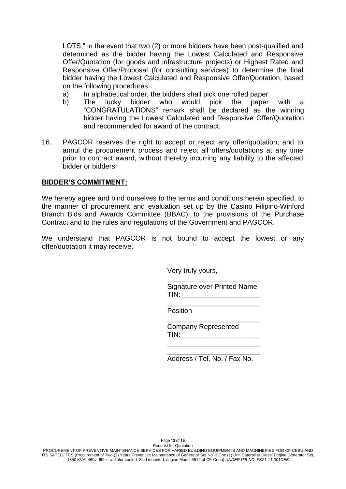LOTS," in the event that two (2) or more bidders have been post-qualified and determined as the bidder having the Lowest Calculated and Responsive Offer/Quotation (for goods and infrastructure projects) or Highest Rated and Responsive Offer/Proposal (for consulting services) to determine the final bidder having the Lowest Calculated and Responsive Offer/Quotation, based on the following procedures:

- a) In alphabetical order, the bidders shall pick one rolled paper.
- b) The lucky bidder who would pick the paper with a "CONGRATULATIONS" remark shall be declared as the winning bidder having the Lowest Calculated and Responsive Offer/Quotation and recommended for award of the contract.
- 16. PAGCOR reserves the right to accept or reject any offer/quotation, and to annul the procurement process and reject all offers/quotations at any time prior to contract award, without thereby incurring any liability to the affected bidder or bidders.

# **BIDDER'S COMMITMENT:**

We hereby agree and bind ourselves to the terms and conditions herein specified, to the manner of procurement and evaluation set up by the Casino Filipino-Winford Branch Bids and Awards Committee (BBAC), to the provisions of the Purchase Contract and to the rules and regulations of the Government and PAGCOR.

We understand that PAGCOR is not bound to accept the lowest or any offer/quotation it may receive.

Very truly yours,

Signature over Printed Name  $TIN:$ 

\_\_\_\_\_\_\_\_\_\_\_\_\_\_\_\_\_\_\_\_\_\_\_\_

\_\_\_\_\_\_\_\_\_\_\_\_\_\_\_\_\_\_\_\_\_\_\_\_

\_\_\_\_\_\_\_\_\_\_\_\_\_\_\_\_\_\_\_\_\_\_\_\_

 $\frac{1}{\sqrt{2}}$  ,  $\frac{1}{\sqrt{2}}$  ,  $\frac{1}{\sqrt{2}}$  ,  $\frac{1}{\sqrt{2}}$  ,  $\frac{1}{\sqrt{2}}$  ,  $\frac{1}{\sqrt{2}}$  ,  $\frac{1}{\sqrt{2}}$  ,  $\frac{1}{\sqrt{2}}$  ,  $\frac{1}{\sqrt{2}}$  ,  $\frac{1}{\sqrt{2}}$  ,  $\frac{1}{\sqrt{2}}$  ,  $\frac{1}{\sqrt{2}}$  ,  $\frac{1}{\sqrt{2}}$  ,  $\frac{1}{\sqrt{2}}$  ,  $\frac{1}{\sqrt{2}}$ Position

> Company Represented  $TIN:$

\_\_\_\_\_\_\_\_\_\_\_\_\_\_\_\_\_\_\_\_\_\_\_\_ Address / Tel. No. / Fax No.

Page **13** of **16**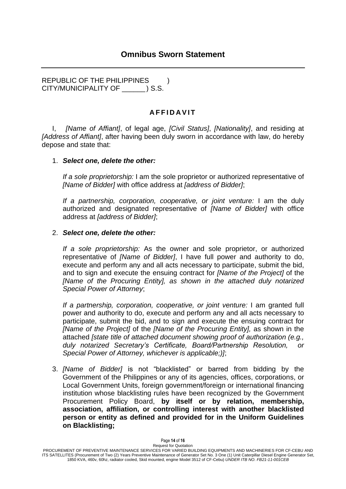REPUBLIC OF THE PHILIPPINES ) CITY/MUNICIPALITY OF \_\_\_\_\_\_ ) S.S.

# **A F F I D A V I T**

I, *[Name of Affiant]*, of legal age, *[Civil Status]*, *[Nationality]*, and residing at *[Address of Affiant]*, after having been duly sworn in accordance with law, do hereby depose and state that:

# 1. *Select one, delete the other:*

*If a sole proprietorship:* I am the sole proprietor or authorized representative of *[Name of Bidder]* with office address at *[address of Bidder]*;

*If a partnership, corporation, cooperative, or joint venture:* I am the duly authorized and designated representative of *[Name of Bidder]* with office address at *[address of Bidder]*;

# 2. *Select one, delete the other:*

*If a sole proprietorship:* As the owner and sole proprietor, or authorized representative of *[Name of Bidder]*, I have full power and authority to do, execute and perform any and all acts necessary to participate, submit the bid, and to sign and execute the ensuing contract for *[Name of the Project]* of the *[Name of the Procuring Entity], as shown in the attached duly notarized Special Power of Attorney*;

*If a partnership, corporation, cooperative, or joint venture:* I am granted full power and authority to do, execute and perform any and all acts necessary to participate, submit the bid, and to sign and execute the ensuing contract for *[Name of the Project]* of the *[Name of the Procuring Entity],* as shown in the attached *[state title of attached document showing proof of authorization (e.g.,*  duly notarized Secretary's Certificate, Board/Partnership Resolution, *Special Power of Attorney, whichever is applicable;)]*;

3. *[Name of Bidder]* is not "blacklisted" or barred from bidding by the Government of the Philippines or any of its agencies, offices, corporations, or Local Government Units, foreign government/foreign or international financing institution whose blacklisting rules have been recognized by the Government Procurement Policy Board, **by itself or by relation, membership, association, affiliation, or controlling interest with another blacklisted person or entity as defined and provided for in the Uniform Guidelines on Blacklisting;**

Request for Quotation PROCUREMENT OF PREVENTIVE MAINTENANCE SERVICES FOR VARIED BUILDING EQUIPMENTS AND MACHINERIES FOR CF-CEBU AND ITS SATELLITES (Procurement of Two (2) Years Preventive Maintenance of Generator Set No. 3 One (1) Unit Caterpillar Diesel Engine Generator Set, 1850 KVA, 460v, 60hz, radiator cooled, Skid mounted, engine Model 3512 of CF-Cebu) *UNDER ITB NO. FB21-11-001CEB*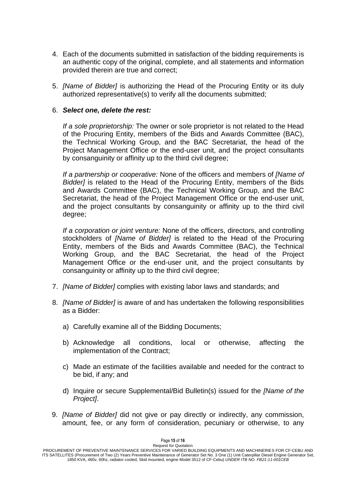- 4. Each of the documents submitted in satisfaction of the bidding requirements is an authentic copy of the original, complete, and all statements and information provided therein are true and correct;
- 5. *[Name of Bidder]* is authorizing the Head of the Procuring Entity or its duly authorized representative(s) to verify all the documents submitted;

# 6. *Select one, delete the rest:*

*If a sole proprietorship:* The owner or sole proprietor is not related to the Head of the Procuring Entity, members of the Bids and Awards Committee (BAC), the Technical Working Group, and the BAC Secretariat, the head of the Project Management Office or the end-user unit, and the project consultants by consanguinity or affinity up to the third civil degree;

*If a partnership or cooperative:* None of the officers and members of *[Name of Bidder]* is related to the Head of the Procuring Entity, members of the Bids and Awards Committee (BAC), the Technical Working Group, and the BAC Secretariat, the head of the Project Management Office or the end-user unit, and the project consultants by consanguinity or affinity up to the third civil degree;

*If a corporation or joint venture:* None of the officers, directors, and controlling stockholders of *[Name of Bidder]* is related to the Head of the Procuring Entity, members of the Bids and Awards Committee (BAC), the Technical Working Group, and the BAC Secretariat, the head of the Project Management Office or the end-user unit, and the project consultants by consanguinity or affinity up to the third civil degree;

- 7. *[Name of Bidder]* complies with existing labor laws and standards; and
- 8. *[Name of Bidder]* is aware of and has undertaken the following responsibilities as a Bidder:
	- a) Carefully examine all of the Bidding Documents;
	- b) Acknowledge all conditions, local or otherwise, affecting the implementation of the Contract;
	- c) Made an estimate of the facilities available and needed for the contract to be bid, if any; and
	- d) Inquire or secure Supplemental/Bid Bulletin(s) issued for the *[Name of the Project]*.
- 9. *[Name of Bidder]* did not give or pay directly or indirectly, any commission, amount, fee, or any form of consideration, pecuniary or otherwise, to any

Page **15** of **16**

Request for Quotation PROCUREMENT OF PREVENTIVE MAINTENANCE SERVICES FOR VARIED BUILDING EQUIPMENTS AND MACHINERIES FOR CF-CEBU AND ITS SATELLITES (Procurement of Two (2) Years Preventive Maintenance of Generator Set No. 3 One (1) Unit Caterpillar Diesel Engine Generator Set, 1850 KVA, 460v, 60hz, radiator cooled, Skid mounted, engine Model 3512 of CF-Cebu) *UNDER ITB NO. FB21-11-001CEB*